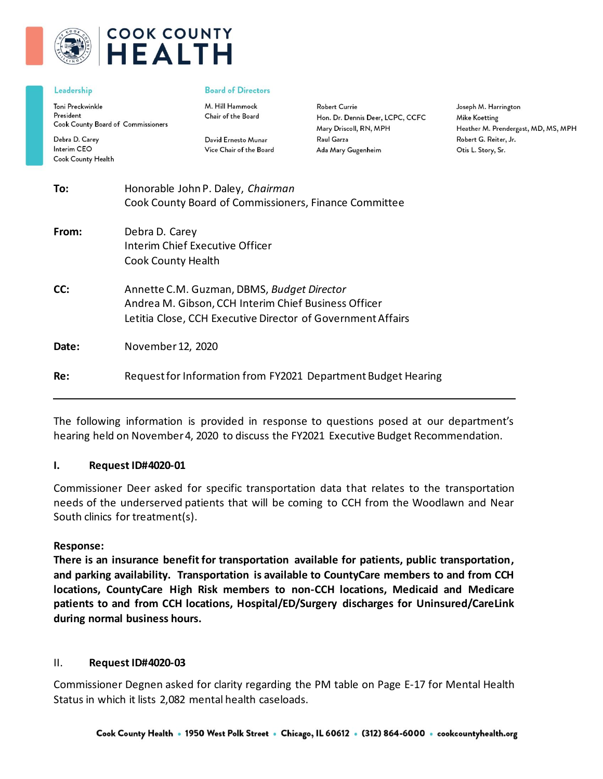

# **COOK COUNTY HEALTH**

#### Leadership

Toni Preckwinkle President Cook County Board of Commissioners

Debra D. Carey Interim CEO Cook County Health

#### **Board of Directors**

M. Hill Hammock Chair of the Board

David Ernesto Munar Vice Chair of the Board **Robert Currie** Hon. Dr. Dennis Deer, LCPC, CCFC Mary Driscoll, RN, MPH Raul Garza Ada Mary Gugenheim

Joseph M. Harrington Mike Koetting Heather M. Prendergast, MD, MS, MPH Robert G. Reiter, Jr. Otis L. Story, Sr.

| Request for Information from FY2021 Department Budget Hearing |
|---------------------------------------------------------------|
|                                                               |

The following information is provided in response to questions posed at our department's hearing held on November 4, 2020 to discuss the FY2021 Executive Budget Recommendation.

#### **I. Request ID#4020-01**

Commissioner Deer asked for specific transportation data that relates to the transportation needs of the underserved patients that will be coming to CCH from the Woodlawn and Near South clinics for treatment(s).

#### **Response:**

**There is an insurance benefit for transportation available for patients, public transportation, and parking availability. Transportation is available to CountyCare members to and from CCH locations, CountyCare High Risk members to non-CCH locations, Medicaid and Medicare patients to and from CCH locations, Hospital/ED/Surgery discharges for Uninsured/CareLink during normal business hours.**

#### II. **Request ID#4020-03**

Commissioner Degnen asked for clarity regarding the PM table on Page E-17 for Mental Health Status in which it lists 2,082 mental health caseloads.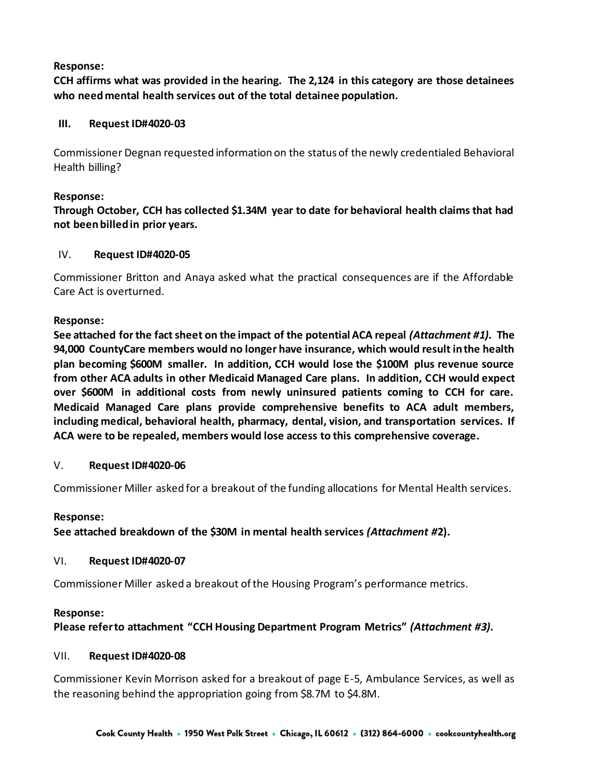# **Response:**

**CCH affirms what was provided in the hearing. The 2,124 in this category are those detainees who need mental health services out of the total detainee population.** 

# **III. Request ID#4020-03**

Commissioner Degnan requested information on the status of the newly credentialed Behavioral Health billing?

# **Response:**

# **Through October, CCH has collected \$1.34M year to date for behavioral health claims that had not been billed in prior years.**

# IV. **Request ID#4020-05**

Commissioner Britton and Anaya asked what the practical consequences are if the Affordable Care Act is overturned.

# **Response:**

**See attached for the fact sheet on the impact of the potential ACA repeal** *(Attachment #1).* **The 94,000 CountyCare members would no longer have insurance, which would result in the health plan becoming \$600M smaller. In addition, CCH would lose the \$100M plus revenue source from other ACA adults in other Medicaid Managed Care plans. In addition, CCH would expect over \$600M in additional costs from newly uninsured patients coming to CCH for care. Medicaid Managed Care plans provide comprehensive benefits to ACA adult members, including medical, behavioral health, pharmacy, dental, vision, and transportation services. If ACA were to be repealed, members would lose access to this comprehensive coverage.**

# V. **Request ID#4020-06**

Commissioner Miller asked for a breakout of the funding allocations for Mental Health services.

# **Response:**

**See attached breakdown of the \$30M in mental health services** *(Attachment #***2).**

# VI. **Request ID#4020-07**

Commissioner Miller asked a breakout of the Housing Program's performance metrics.

# **Response:**

**Please refer to attachment "CCH Housing Department Program Metrics"** *(Attachment #3).*

# VII. **Request ID#4020-08**

Commissioner Kevin Morrison asked for a breakout of page E-5, Ambulance Services, as well as the reasoning behind the appropriation going from \$8.7M to \$4.8M.